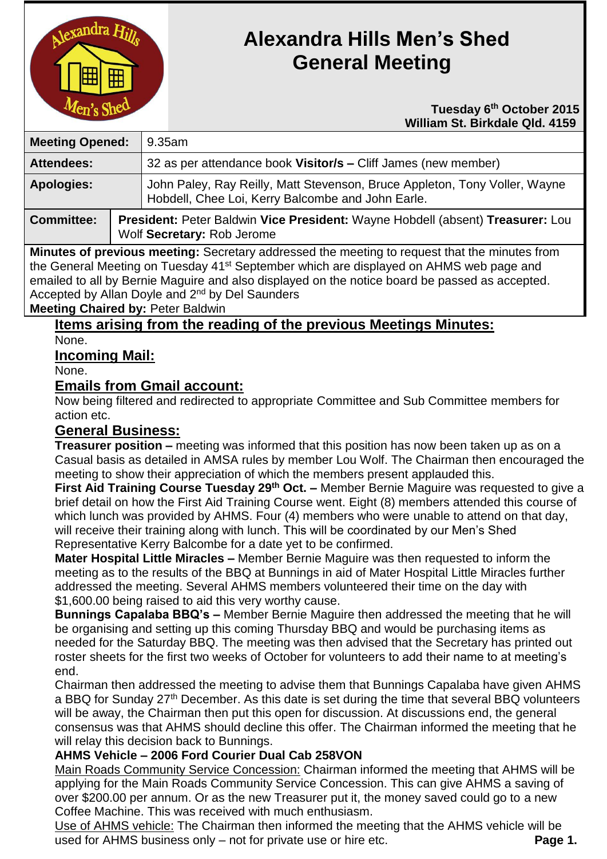

# **Alexandra Hills Men's Shed General Meeting**

#### **Tuesday 6 th October 2015 William St. Birkdale Qld. 4159**

| <b>Meeting Opened:</b> |  | 9.35am                                                                                                                          |  |
|------------------------|--|---------------------------------------------------------------------------------------------------------------------------------|--|
| <b>Attendees:</b>      |  | 32 as per attendance book Visitor/s – Cliff James (new member)                                                                  |  |
| <b>Apologies:</b>      |  | John Paley, Ray Reilly, Matt Stevenson, Bruce Appleton, Tony Voller, Wayne<br>Hobdell, Chee Loi, Kerry Balcombe and John Earle. |  |
| <b>Committee:</b>      |  | President: Peter Baldwin Vice President: Wayne Hobdell (absent) Treasurer: Lou<br>Wolf Secretary: Rob Jerome                    |  |

**Minutes of previous meeting:** Secretary addressed the meeting to request that the minutes from the General Meeting on Tuesday 41<sup>st</sup> September which are displayed on AHMS web page and emailed to all by Bernie Maguire and also displayed on the notice board be passed as accepted. Accepted by Allan Doyle and 2<sup>nd</sup> by Del Saunders

**Meeting Chaired by:** Peter Baldwin

**Items arising from the reading of the previous Meetings Minutes:** None.

**Incoming Mail:**

None.

## **Emails from Gmail account:**

Now being filtered and redirected to appropriate Committee and Sub Committee members for action etc.

# **General Business:**

**Treasurer position –** meeting was informed that this position has now been taken up as on a Casual basis as detailed in AMSA rules by member Lou Wolf. The Chairman then encouraged the meeting to show their appreciation of which the members present applauded this.

**First Aid Training Course Tuesday 29th Oct. –** Member Bernie Maguire was requested to give a brief detail on how the First Aid Training Course went. Eight (8) members attended this course of which lunch was provided by AHMS. Four (4) members who were unable to attend on that day, will receive their training along with lunch. This will be coordinated by our Men's Shed Representative Kerry Balcombe for a date yet to be confirmed.

**Mater Hospital Little Miracles –** Member Bernie Maguire was then requested to inform the meeting as to the results of the BBQ at Bunnings in aid of Mater Hospital Little Miracles further addressed the meeting. Several AHMS members volunteered their time on the day with \$1,600.00 being raised to aid this very worthy cause.

**Bunnings Capalaba BBQ's –** Member Bernie Maguire then addressed the meeting that he will be organising and setting up this coming Thursday BBQ and would be purchasing items as needed for the Saturday BBQ. The meeting was then advised that the Secretary has printed out roster sheets for the first two weeks of October for volunteers to add their name to at meeting's end.

Chairman then addressed the meeting to advise them that Bunnings Capalaba have given AHMS a BBQ for Sunday 27<sup>th</sup> December. As this date is set during the time that several BBQ volunteers will be away, the Chairman then put this open for discussion. At discussions end, the general consensus was that AHMS should decline this offer. The Chairman informed the meeting that he will relay this decision back to Bunnings.

## **AHMS Vehicle – 2006 Ford Courier Dual Cab 258VON**

Main Roads Community Service Concession: Chairman informed the meeting that AHMS will be applying for the Main Roads Community Service Concession. This can give AHMS a saving of over \$200.00 per annum. Or as the new Treasurer put it, the money saved could go to a new Coffee Machine. This was received with much enthusiasm.

Use of AHMS vehicle: The Chairman then informed the meeting that the AHMS vehicle will be used for AHMS business only – not for private use or hire etc. **Page 1.**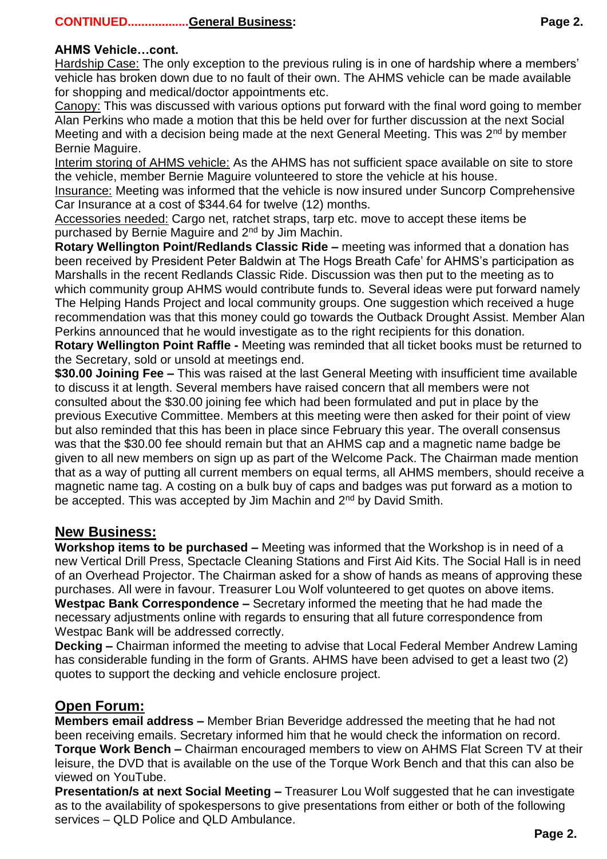## **CONTINUED..................General Business: Page 2.**

#### **AHMS Vehicle…cont.**

Hardship Case: The only exception to the previous ruling is in one of hardship where a members' vehicle has broken down due to no fault of their own. The AHMS vehicle can be made available for shopping and medical/doctor appointments etc.

Canopy: This was discussed with various options put forward with the final word going to member Alan Perkins who made a motion that this be held over for further discussion at the next Social Meeting and with a decision being made at the next General Meeting. This was  $2<sup>nd</sup>$  by member Bernie Maguire.

Interim storing of AHMS vehicle: As the AHMS has not sufficient space available on site to store the vehicle, member Bernie Maguire volunteered to store the vehicle at his house.

Insurance: Meeting was informed that the vehicle is now insured under Suncorp Comprehensive Car Insurance at a cost of \$344.64 for twelve (12) months.

Accessories needed: Cargo net, ratchet straps, tarp etc. move to accept these items be purchased by Bernie Maguire and 2<sup>nd</sup> by Jim Machin.

**Rotary Wellington Point/Redlands Classic Ride –** meeting was informed that a donation has been received by President Peter Baldwin at The Hogs Breath Cafe' for AHMS's participation as Marshalls in the recent Redlands Classic Ride. Discussion was then put to the meeting as to which community group AHMS would contribute funds to. Several ideas were put forward namely The Helping Hands Project and local community groups. One suggestion which received a huge recommendation was that this money could go towards the Outback Drought Assist. Member Alan Perkins announced that he would investigate as to the right recipients for this donation.

**Rotary Wellington Point Raffle -** Meeting was reminded that all ticket books must be returned to the Secretary, sold or unsold at meetings end.

**\$30.00 Joining Fee –** This was raised at the last General Meeting with insufficient time available to discuss it at length. Several members have raised concern that all members were not consulted about the \$30.00 joining fee which had been formulated and put in place by the previous Executive Committee. Members at this meeting were then asked for their point of view but also reminded that this has been in place since February this year. The overall consensus was that the \$30.00 fee should remain but that an AHMS cap and a magnetic name badge be given to all new members on sign up as part of the Welcome Pack. The Chairman made mention that as a way of putting all current members on equal terms, all AHMS members, should receive a magnetic name tag. A costing on a bulk buy of caps and badges was put forward as a motion to be accepted. This was accepted by Jim Machin and 2<sup>nd</sup> by David Smith.

### **New Business:**

**Workshop items to be purchased –** Meeting was informed that the Workshop is in need of a new Vertical Drill Press, Spectacle Cleaning Stations and First Aid Kits. The Social Hall is in need of an Overhead Projector. The Chairman asked for a show of hands as means of approving these purchases. All were in favour. Treasurer Lou Wolf volunteered to get quotes on above items. **Westpac Bank Correspondence –** Secretary informed the meeting that he had made the necessary adjustments online with regards to ensuring that all future correspondence from Westpac Bank will be addressed correctly.

**Decking –** Chairman informed the meeting to advise that Local Federal Member Andrew Laming has considerable funding in the form of Grants. AHMS have been advised to get a least two (2) quotes to support the decking and vehicle enclosure project.

## **Open Forum:**

**Members email address –** Member Brian Beveridge addressed the meeting that he had not been receiving emails. Secretary informed him that he would check the information on record. **Torque Work Bench –** Chairman encouraged members to view on AHMS Flat Screen TV at their leisure, the DVD that is available on the use of the Torque Work Bench and that this can also be viewed on YouTube.

**Presentation/s at next Social Meeting –** Treasurer Lou Wolf suggested that he can investigate as to the availability of spokespersons to give presentations from either or both of the following services – QLD Police and QLD Ambulance.